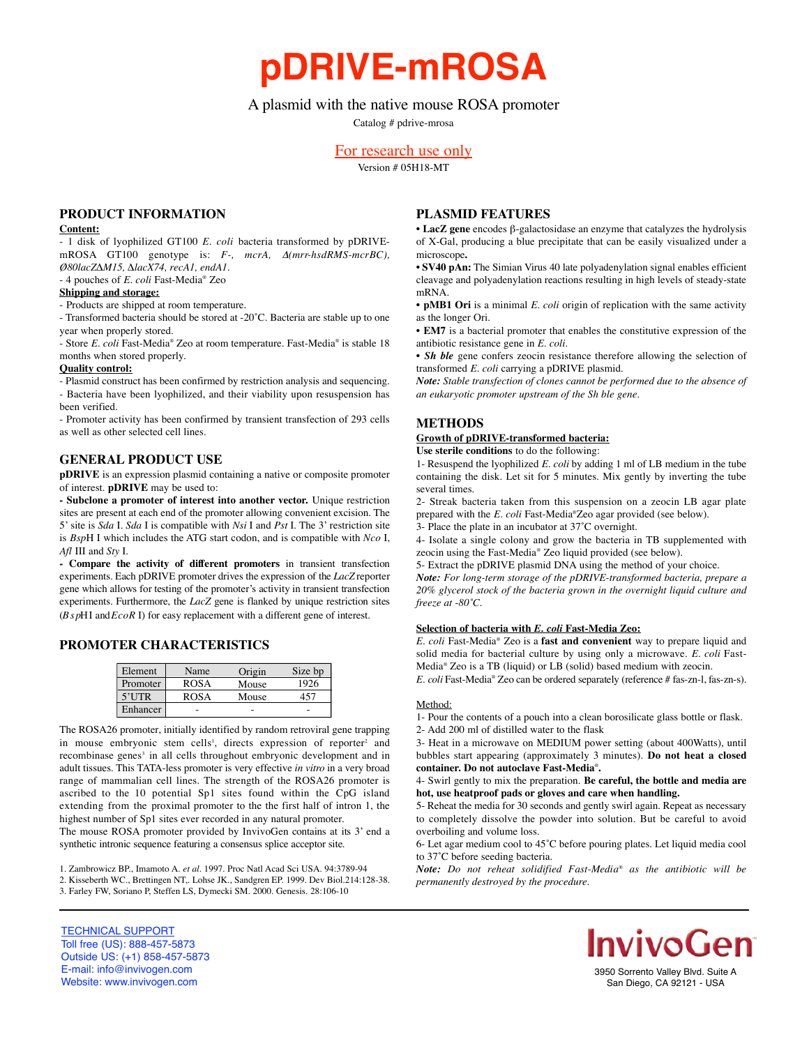**pDRIVE-mROSA**

# A plasmid with the native mouse ROSA promoter

Catalog # pdrive-mrosa

# For research use only

Version # 05H18-MT

## **PRODUCT INFORMATION**

#### **Content:**

- 1 disk of lyophilized GT100 *E. coli* bacteria transformed by pDRIVEmROSA GT100 genotype is: *F*-, *mcrA*, Δ(mrr-hsdRMS-mcrBC), *Ø80lacZ∆M15, ∆lacX74, recA1, endA1.* - 4 pouches of *E. coli* Fast-Media® Zeo

## **Shipping and storage:**

- Products are shipped at room temperature.

- Transformed bacteria should be stored at -20˚C. Bacteria are stable up to one year when properly stored.

- Store *E. coli* Fast-Media® Zeo at room temperature. Fast-Media® is stable 18 months when stored properly.

#### **Quality control:**

- Plasmid construct has been confirmed by restriction analysis and sequencing. - Bacteria have been lyophilized, and their viability upon resuspension has been verified.

- Promoter activity has been confirmed by transient transfection of 293 cells as well as other selected cell lines.

### **GENERAL PRODUCT USE**

**pDRIVE** is an expression plasmid containing a native or composite promoter of interest. **pDRIVE** may be used to:

**- Subclone a promoter of interest into another vector.** Unique restriction sites are present at each end of the promoter allowing convenient excision. The 5' site is *Sda* I. *Sda* I is compatible with *Nsi* I and *Pst* I. The 3' restriction site is *Bsp*H I which includes the ATG start codon, and is compatible with *Nco* I, *Afl* III and *Sty* I.

- Compare the activity of different promoters in transient transfection experiments. Each pDRIVE promoter drives the expression of the *LacZ* reporter gene which allows for testing of the promoter's activity in transient transfection experiments. Furthermore, the *LacZ* gene is flanked by unique restriction sites (*B s p*H I and *E c o R* I) for easy replacement with a different gene of interest.

### **PROMOTER CHARACTERISTICS**

| Element  | Name        | Origin | Size bp |
|----------|-------------|--------|---------|
| Promoter | <b>ROSA</b> | Mouse  | 1926    |
| $5'$ UTR | <b>ROSA</b> | Mouse  |         |
| Enhancer |             |        |         |

The ROSA26 promoter, initially identified by random retroviral gene trapping in mouse embryonic stem cells<sup>1</sup>, directs expression of reporter<sup>2</sup> and recombinase genes<sup>3</sup> in all cells throughout embryonic development and in adult tissues. This TATA-less promoter is very effective *in vitro* in a very broad range of mammalian cell lines. The strength of the ROSA26 promoter is ascribed to the 10 potential Sp1 sites found within the CpG island extending from the proximal promoter to the the first half of intron 1, the highest number of Sp1 sites ever recorded in any natural promoter.

The mouse ROSA promoter provided by InvivoGen contains at its 3' end a synthetic intronic sequence featuring a consensus splice acceptor site.

1. Zambrowicz BP., Imamoto A. *et al.* 1997. Proc Natl Acad Sci USA. 94:3789-94 2. Kisseberth WC., Brettingen NT,. Lohse JK., Sandgren EP. 1999. Dev Biol.214:128-38. 3. Farley FW, Soriano P, Steffen LS, Dymecki SM. 2000. Genesis. 28:106-10

## **PLASMID FEATURES**

• **LacZ gene** encodes β-galactosidase an enzyme that catalyzes the hydrolysis of X-Gal, producing a blue precipitate that can be easily visualized under a microscope**.**

• **SV40 pAn:** The Simian Virus 40 late polyadenylation signal enables efficient cleavage and polyadenylation reactions resulting in high levels of steady-state mRNA.

• **pMB1 Ori** is a minimal *E. coli* origin of replication with the same activity as the longer Ori.

• **EM7** is a bacterial promoter that enables the constitutive expression of the antibiotic resistance gene in *E. coli.*

• *Sh ble* gene confers zeocin resistance therefore allowing the selection of transformed *E. coli* carrying a pDRIVE plasmid.

*Note: Stable transfection of clones cannot be performed due to the absence of an eukaryotic promoter upstream of the Sh ble gene.*

## **METHODS**

# **Growth of pDRIVE-transformed bacteria:**

**Use sterile conditions** to do the following:

1- Resuspend the lyophilized *E. coli* by adding 1 ml of LB medium in the tube containing the disk. Let sit for 5 minutes. Mix gently by inverting the tube several times.

2- Streak bacteria taken from this suspension on a zeocin LB agar plate prepared with the *E. coli* Fast-Media®Zeo agar provided (see below).

3- Place the plate in an incubator at 37˚C overnight.

4- Isolate a single colony and grow the bacteria in TB supplemented with zeocin using the Fast-Media® Zeo liquid provided (see below).

5- Extract the pDRIVE plasmid DNA using the method of your choice.

*Note: For long-term storage of the pDRIVE-transformed bacteria, prepare a 20% glycerol stock of the bacteria grown in the overnight liquid culture and freeze at -80˚C.*

#### **Selection of bacteria with** *E. coli* **Fast-Media Zeo:**

*E. coli* Fast-Media® Zeo is a **fast and convenient** way to prepare liquid and solid media for bacterial culture by using only a microwave. *E. coli* Fast-Media® Zeo is a TB (liquid) or LB (solid) based medium with zeocin.

*E. coli* Fast-Media® Zeo can be ordered separately (reference # fas-zn-1, fas-zn-s).

#### Method:

1- Pour the contents of a pouch into a clean borosilicate glass bottle or flask. 2- Add 200 ml of distilled water to the flask

3- Heat in a microwave on MEDIUM power setting (about 400Watts), until bubbles start appearing (approximately 3 minutes). **Do not heat a closed container. Do not autoclave Fast-Media**® **.**

#### 4- Swirl gently to mix the preparation. **Be careful, the bottle and media are hot, use heatproof pads or gloves and care when handling.**

5- Reheat the media for 30 seconds and gently swirl again. Repeat as necessary to completely dissolve the powder into solution. But be careful to avoid overboiling and volume loss.

6- Let agar medium cool to 45˚C before pouring plates. Let liquid media cool to 37˚C before seeding bacteria.

*Note:* Do not reheat solidified Fast-Media® as the antibiotic will be *permanently destroyed by the procedure.*





3950 Sorrento Valley Blvd. Suite A San Diego, CA 92121 - USA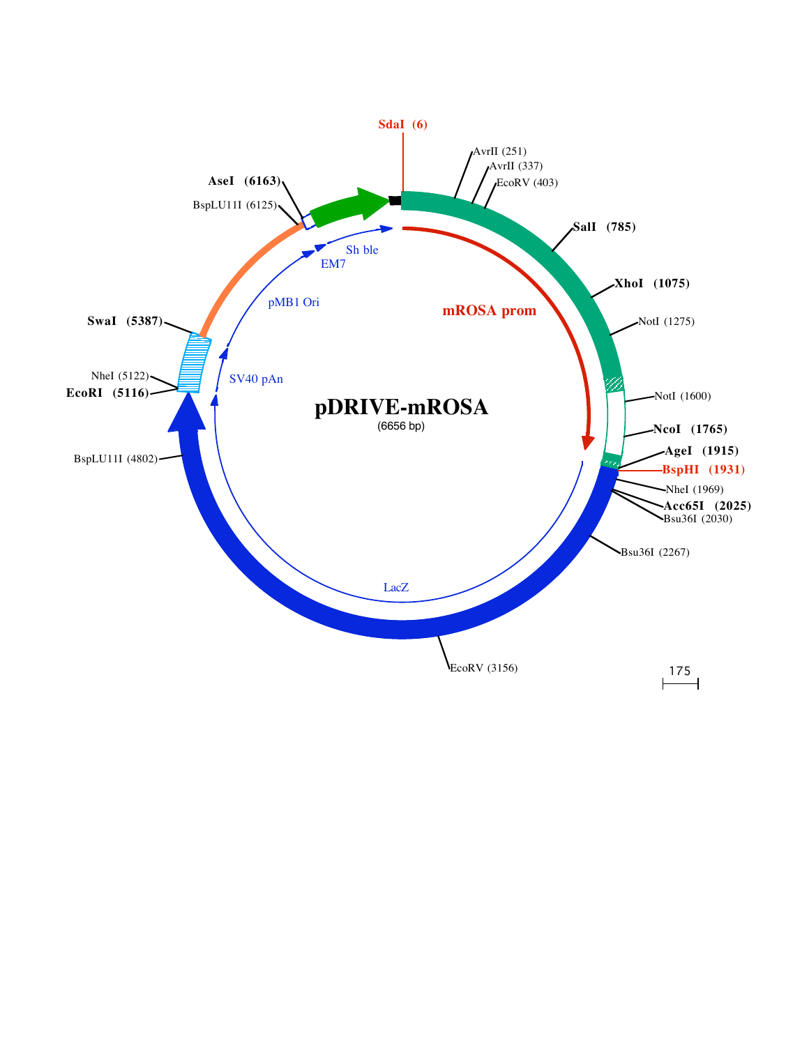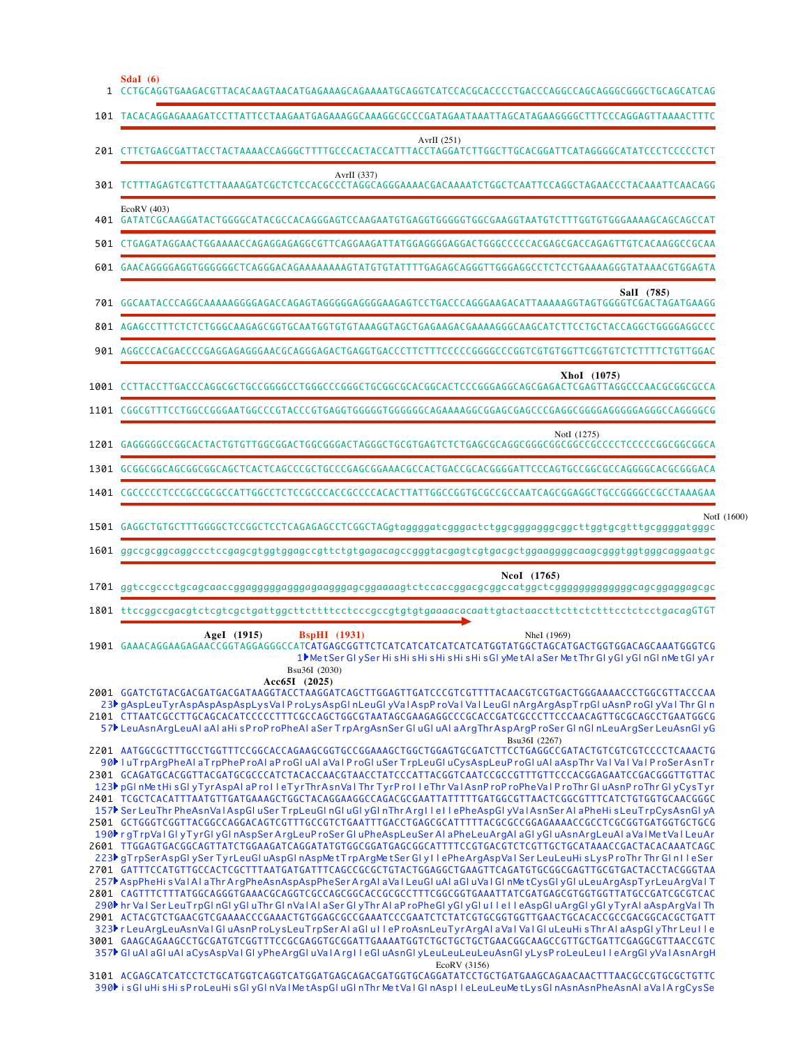|      | Sdal $(6)$<br>CCTGCAGGTGAAGACGTTACACAAGTAACATGAGAAAGCAGAAAATGCAGGTCATCCACGCACCCCTGACCCAGGCCAGCAGGGCGGCTGCAGCATCAG         |
|------|---------------------------------------------------------------------------------------------------------------------------|
|      | 101 TACACAGGAGAAAGATCCTTATTCCTAAGAATGAGAAAGGCAAAGGCCCCCGATAGAATAAATTAGCATAGAAGGGGCTTTCCCAGGAGTTAAAACTTTC                  |
| 201  | AvrII $(251)$                                                                                                             |
|      | AvrII $(337)$<br>301 TCTTTAGAGTCGTTCTTAAAAGATCGCTCTCCACGCCCTAGGCAGGGAAAACGACAAAATCTGGCTCAATTCCAGGCTAGAACCCTACAAATTCAACAGG |
|      | EcoRV (403)<br>401 GATATCGCAAGGATACTGGGGCATACGCCACAGGGAGTCCAAGAATGTGAGGTGGGGGTGGCGAAGGTAATGTCTTTGGTGTGGGAAAAGCAGCAGCCAT   |
| 501  |                                                                                                                           |
| 601  |                                                                                                                           |
|      | Sall (785)                                                                                                                |
|      | 801 AGAGCCTTTCTCTCTGGGCAAGAGCGGTGCAATGGTGTGTAAAGGTAGCTGAGAAGACGAAAAGGGCAAGCATCTTCCTGCTACCAGGCTGGGGAGGCCC                  |
| 901  |                                                                                                                           |
| 1001 | XhoI (1075)<br>CCTTACCTTGACCCAGGCGCTGCCGGGGCCCTGGGCCCGGGCTGCGGCGCACGGCACTCCCGGGAGGCAGCGAGACTCGAGTTAGGCCCAACGCGGCGCCA      |
| 1101 |                                                                                                                           |
|      | NotI (1275)                                                                                                               |
|      | 1301 GCGGCGGCAGCGGCGGCAGCTCACTCAGCCCGCTGCCCGAGCGGAAACGCCACTGACCGCACGGGGATTCCCAGTGCCGGCGCCAGGGGCACGCGGGACA                 |
|      | 1401 CGCCCCCTCCCGCCGCCGCCATTGGCCTCTCCGCCCACCGCCCCACACTTATTGGCCGGTGCGCCGATCAGCGGAGGCTGCCGGGGCCGCCTAAAGAA                   |

NotI (1600)

| Ncol (1765)                                                                                               |
|-----------------------------------------------------------------------------------------------------------|
| 1601 ggccgcggcaggccctccgagcgtggtggagccgttctgtgagacagccgggtacgagtcgtgacgctggaaggggcaagcgggtggtgggcaggaatgc |
| 1501 GAGGCTGTGCTTTGGGGCTCCGGCTCCTCAGAGAGCCTCGGCTAGgtaggggatcgggactctggcggaggggggcttggtgcgtttgcggggatgggc  |

| $\cdots$ $\cdots$                                                                                                                                                           |
|-----------------------------------------------------------------------------------------------------------------------------------------------------------------------------|
| $1701$ gg $t$ c $c$ g $c$ c $c$ tg $c$ ag $c$ a $\alpha$ c $g$ gaggggggggggagagggggagaaag $t$ c $t$ c $c$ a $c$ cggac $g$ c $c$ gg $g$ gggggggggggggggggggggggggc $c$ g $c$ |
|                                                                                                                                                                             |

1801 ttccggccgacgtctcgtcgctgattggcttcttttcctcccgccgtgtgtgaaaacacaattgtactaaccttcttttcttttcctctcctgacagGTGT

GAAACAGGAAGAGAACCGGTAGGAGGGCCATCATGAGCGGTTCTCATCATCATCATCATCATGGTATGGCTAGCATGACTGGTGGACAGCAAATGGGTCG **AgeI (1915) BspHI (1931)** NheI (1969) 1901 1 ▶Me t Ser Gl y Ser Hi s Hi s Hi s Hi s Hi s Hi s Gl y Me t A l a Ser Me t Thr Gl y Gl y Gl n Gl n Me t Gl y A r **Acc65I (2025)** Bsu36I (2030)

2001 GGATCTGTACGACGATGACGATAAGGTACCTAAGGATCAGCTTGGAGTTGATCCCGTCGTTTTACAACGTCGTGACTGGGAAAACCCTGGCGTTACCCAA 2101 CTTAATCGCCTTGCAGCACATCCCCCTTTCGCCAGCTGGCGTAATAGCGAAGAGGCCCGCACCGATCGCCCTTCCCAACAGTTGCGCAGCCTGAATGGCG 23▶gAspLeuTyrAspAspAspAspLysVaIP roLysAspGI nLeuGI yVaIAspP roVaI VaI LeuGI nArgArgAspTrpGI uAsnP roGI yVaI Thr GI n 57▶ LeuAsnArgLeuAl aAl aHi sP roP roPheAl aSer TrpArgAsnSer Gl uGl uAl aArgThrAspArgP roSer Gl nGl nLeuArgSer LeuAsnGl yG

AATGGCGCTTTGCCTGGTTTCCGGCACCAGAAGCGGTGCCGGAAAGCTGGCTGGAGTGCGATCTTCCTGAGGCCGATACTGTCGTCGTCCCCTCAAACTG 2201 2301 GCAGATGCACGGTTACGATGCGCCCATCTACACCAACGTAACCTATCCCATTACGGTCAATCCGCCGTTTGTTCCCACGGAGAATCCGACGGGTTGTTAC 2401 TCGCTCACATTTAATGTTGATGAAAGCTGGCTACAGGAAGGCCAGACGCGAATTATTTTTGATGGCGTTAACTCGGCGTTTCATCTGTGGTGCAACGGGC 2501 GCTGGGTCGGTTACGGCCAGGACAGTCGTTTGCCGTCTGAATTTGACCTGAGCGCATTTTTACGCGCCGGAGAAAACCGCCTCGCGGTGATGGTGCTGCG 2601 TTGGAGTGACGGCAGTTATCTGGAAGATCAGGATATGTGGCGGATGAGCGGCATTTTCCGTGACGTCTCGTTGCTGCATAAACCGACTACACAAATCAGC GATTTCCATGTTGCCACTCGCTTTAATGATGATTTCAGCCGCGCTGTACTGGAGGCTGAAGTTCAGATGTGCGGCGAGTTGCGTGACTACCTACGGGTAA 2701 2801 CAGTTTCTTTATGGCAGGGTGAAACGCAGGTCGCCAGCGGCACCGCGCCTTTCGGCGGTGAAATTATCGATGAGCGTGGTGGTTATGCCGATCGCGTCAC 2901 ACTACGTCTGAACGTCGAAAACCCGAAACTGTGGAGCGCCGAAATCCCGAATCTCTATCGTGCGGTGGTTGAACTGCACACCGCCGACGGCACGCTGATT 3001 GAAGCAGAAGCCTGCGATGTCGGTTTCCGCGAGGTGCGGATTGAAAATGGTCTGCTGCTGCTGAACGGCAAGCCGTTGCTGATTCGAGGCGTTAACCGTC 90▶ I uT rpArgPheAI aT rpPheP roAI aP roGI uAI aVaI P roGI uSer T rpLeuGI uCysAspLeuP roGI uAI aAspThr VaI VaI VaI P roSerAsnT r 123▶ pGl nMe tHi sGl yTyrAspAl aP ro I l eTyrThrAsnVaI Thr TyrP ro I l eThr VaIAsnP roP roPheVaI P roThr GI uAsnP roThr GI yCysTyr 157▶ Ser LeuThr PheAsnVa l AspGl uSer TrpLeuGl nGl uGl yGl nThr Arg I l e I l ePheAspGl yVa l AsnSer AI aPheHi s LeuT rpCysAsnGl yA 190▶r gTrpVaIGI yTyrGI yGI nAspSerArgLeuP roSer GI uPheAspLeuSer AI aPheLeuArgAI aGI yGI uAsnArgLeuAI aVaI MetVaI LeuAr 223▶ gTrpSerAspGl ySer TyrLeuGl uAspGl nAspMe tTrpArgMe tSer Gl y IIePheArgAspVa I Ser LeuLeuHi s LysP roThr Thr Gl n IIeSer 257▶AspPheHi s Va l A l aThr A rgPheAsnAspAspPheSer A rgAl a Va l LeuGl uAl aGl uVa l Gl nMe tCysGl yGl uLeuArgAspTyrLeuArgVa l T 290▶ hr Va l Ser LeuT rpGl nGl yGl uThr Gl nVa l A l aSer Gl yThr A l aP roPheGl yGl yGl yGl u l l e l l eAspGl uArgGl yGl yTyrAl aAspArgVa l Th 323▶r LeuArgLeuAsnVaI GI uAsnP roLysLeuT rpSer AI aGI uTI eP roAsnLeuTyrArgAI aVaTVaTGI uLeuHi sThr AI aAspGI yThr LeuTI e 357▶ GI uAI aGI uAI aCysAspVaI GI yPheArgGI uVaI Arg I l eGI uAsnGI yLeuLeuLeuLeuAsnGI yLysP roLeuLeu I l eArgGI yVaI AsnArgH Bsu36I (2267) EcoRV (3156)

3101 ACGAGCATCATCCTCTGCATGGTCAGGTCATGGATGAGCAGACGATGGTGCAGGATATCCTGCTGATGAAGCAGAACAACTTTAACGCCGTGCGCTGTTC 390▶ i sGl uHi sHi sP roLeuHi sGl yGl nVa l Me tAspGl uGl nThr Me tVa l Gl nAsp I l eLeuLeuMe tLysGl nAsnAsnPheAsnAl aVa l A rgCysSe